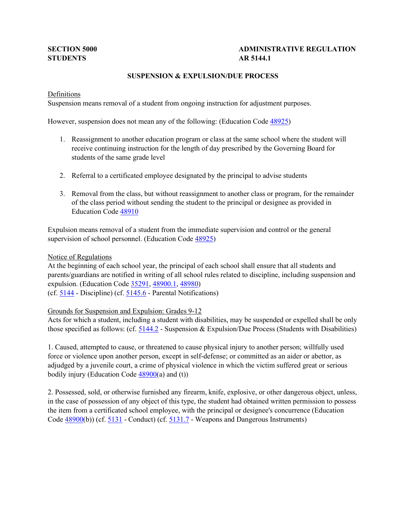# **STUDENTS AR 5144.1**

# **SECTION 5000 ADMINISTRATIVE REGULATION**

# **SUSPENSION & EXPULSION/DUE PROCESS**

## Definitions

Suspension means removal of a student from ongoing instruction for adjustment purposes.

However, suspension does not mean any of the following: (Education Code  $\frac{48925}{ }$ )

- 1. Reassignment to another education program or class at the same school where the student will receive continuing instruction for the length of day prescribed by the Governing Board for students of the same grade level
- 2. Referral to a certificated employee designated by the principal to advise students
- 3. Removal from the class, but without reassignment to another class or program, for the remainder of the class period without sending the student to the principal or designee as provided in Education Code [48910](http://gamutonline.net/displayPolicy/132235/5)

 Expulsion means removal of a student from the immediate supervision and control or the general supervision of school personnel. (Education Code [48925\)](http://gamutonline.net/displayPolicy/132254/5)

#### Notice of Regulations

expulsion. (Education Code [35291,](http://gamutonline.net/displayPolicy/131451/5) [48900.1,](http://gamutonline.net/displayPolicy/132220/5) [48980\)](http://gamutonline.net/displayPolicy/226041/5) (cf.  $\frac{5144}{ }$  - Discipline) (cf.  $\frac{5145.6}{ }$  - Parental Notifications) At the beginning of each school year, the principal of each school shall ensure that all students and parents/guardians are notified in writing of all school rules related to discipline, including suspension and

# Grounds for Suspension and Expulsion: Grades 9-12

 Acts for which a student, including a student with disabilities, may be suspended or expelled shall be only those specified as follows: (cf. [5144.2](http://gamutonline.net/displayPolicy/288773/5) - Suspension & Expulsion/Due Process (Students with Disabilities)

 force or violence upon another person, except in self-defense; or committed as an aider or abettor, as 1. Caused, attempted to cause, or threatened to cause physical injury to another person; willfully used adjudged by a juvenile court, a crime of physical violence in which the victim suffered great or serious bodily injury (Education Code  $\frac{48900}{a}$ ) and (t))

 in the case of possession of any object of this type, the student had obtained written permission to possess the item from a certificated school employee, with the principal or designee's concurrence (Education Code  $\frac{48900(b)}{c}$  (cf.  $\frac{5131}{c}$  - Conduct) (cf.  $\frac{5131.7}{c}$  - Weapons and Dangerous Instruments) 2. Possessed, sold, or otherwise furnished any firearm, knife, explosive, or other dangerous object, unless,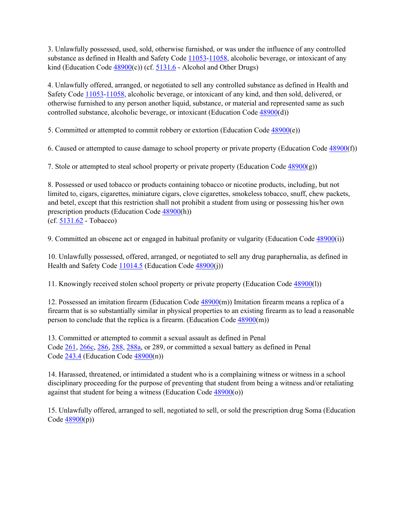kind (Education Code  $\frac{48900(c)}{c}$ ) (cf. [5131.6](http://gamutonline.net/displayPolicy/171128/5) - Alcohol and Other Drugs) 3. Unlawfully possessed, used, sold, otherwise furnished, or was under the influence of any controlled substance as defined in Health and Safety Code  $11053-11058$ , alcoholic beverage, or intoxicant of any

Safety Code [11053-](http://gamutonline.net/displayPolicy/149830/5)[11058,](http://gamutonline.net/displayPolicy/149833/5) alcoholic beverage, or intoxicant of any kind, and then sold, delivered, or 4. Unlawfully offered, arranged, or negotiated to sell any controlled substance as defined in Health and otherwise furnished to any person another liquid, substance, or material and represented same as such controlled substance, alcoholic beverage, or intoxicant (Education Code  $\frac{48900(d)}{48900(d)}$ )

5. Committed or attempted to commit robbery or extortion (Education Code [48900\(](http://gamutonline.net/displayPolicy/137736/5)e))

6. Caused or attempted to cause damage to school property or private property (Education Code [48900\(](http://gamutonline.net/displayPolicy/137736/5)f))

7. Stole or attempted to steal school property or private property (Education Code  $\frac{48900(g)}{g}$ )

(cf. <u>5131.62</u> - Tobacco) 8. Possessed or used tobacco or products containing tobacco or nicotine products, including, but not limited to, cigars, cigarettes, miniature cigars, clove cigarettes, smokeless tobacco, snuff, chew packets, and betel, except that this restriction shall not prohibit a student from using or possessing his/her own prescription products (Education Code [48900\(](http://gamutonline.net/displayPolicy/137736/5)h))

9. Committed an obscene act or engaged in habitual profanity or vulgarity (Education Code [48900\(](http://gamutonline.net/displayPolicy/137736/5)i))

Health and Safety Code [11014.5](http://gamutonline.net/displayPolicy/150418/5) (Education Code [48900\(](http://gamutonline.net/displayPolicy/137736/5)j)) 10. Unlawfully possessed, offered, arranged, or negotiated to sell any drug paraphernalia, as defined in

11. Knowingly received stolen school property or private property (Education Code [48900\(](http://gamutonline.net/displayPolicy/137736/5)l))

 firearm that is so substantially similar in physical properties to an existing firearm as to lead a reasonable 12. Possessed an imitation firearm (Education Code [48900\(](http://gamutonline.net/displayPolicy/137736/5)m)) Imitation firearm means a replica of a person to conclude that the replica is a firearm. (Education Cod[e 48900\(](http://gamutonline.net/displayPolicy/137736/5)m))

Code [261,](http://gamutonline.net/displayPolicy/169326/5) [266c,](http://gamutonline.net/displayPolicy/226067/5) [286,](http://gamutonline.net/displayPolicy/169686/5) [288,](http://gamutonline.net/displayPolicy/169700/5) [288a,](http://gamutonline.net/displayPolicy/169687/5) or 289, or committed a sexual battery as defined in Penal Code  $243.4$  (Education Code  $48900(n)$ ) 13. Committed or attempted to commit a sexual assault as defined in Penal

 14. Harassed, threatened, or intimidated a student who is a complaining witness or witness in a school against that student for being a witness (Education Code  $\frac{48900}{(o)}$ ) disciplinary proceeding for the purpose of preventing that student from being a witness and/or retaliating

15. Unlawfully offered, arranged to sell, negotiated to sell, or sold the prescription drug Soma (Education Code  $48900(p)$ )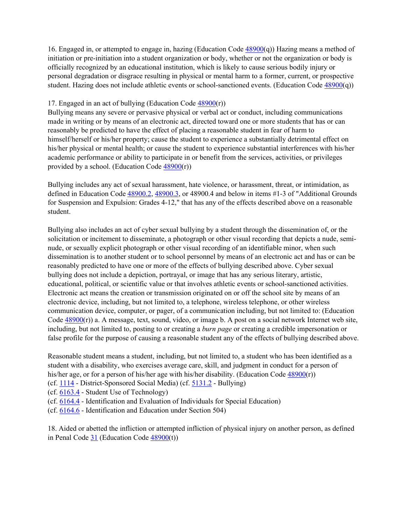16. Engaged in, or attempted to engage in, hazing (Education Code  $\frac{48900(q)}{2}$ ) Hazing means a method of personal degradation or disgrace resulting in physical or mental harm to a former, current, or prospective initiation or pre-initiation into a student organization or body, whether or not the organization or body is officially recognized by an educational institution, which is likely to cause serious bodily injury or student. Hazing does not include athletic events or school-sanctioned events. (Education Code [48900\(](http://gamutonline.net/displayPolicy/137736/5)q))

#### 17. Engaged in an act of bullying (Education Code [48900\(](http://gamutonline.net/displayPolicy/137736/5)r))

 made in writing or by means of an electronic act, directed toward one or more students that has or can reasonably be predicted to have the effect of placing a reasonable student in fear of harm to his/her physical or mental health; or cause the student to experience substantial interferences with his/her Bullying means any severe or pervasive physical or verbal act or conduct, including communications himself/herself or his/her property; cause the student to experience a substantially detrimental effect on academic performance or ability to participate in or benefit from the services, activities, or privileges provided by a school. (Education Code  $\frac{48900(r)}{r}$ )

 Bullying includes any act of sexual harassment, hate violence, or harassment, threat, or intimidation, as defined in Education Code  $\frac{48900.2}{18900.3}$ , or 48900.4 and below in items #1-3 of "Additional Grounds for Suspension and Expulsion: Grades 4-12," that has any of the effects described above on a reasonable student.

 Bullying also includes an act of cyber sexual bullying by a student through the dissemination of, or the dissemination is to another student or to school personnel by means of an electronic act and has or can be reasonably predicted to have one or more of the effects of bullying described above. Cyber sexual bullying does not include a depiction, portrayal, or image that has any serious literary, artistic, educational, political, or scientific value or that involves athletic events or school-sanctioned activities. Electronic act means the creation or transmission originated on or off the school site by means of an electronic device, including, but not limited to, a telephone, wireless telephone, or other wireless including, but not limited to, posting to or creating a *burn page* or creating a credible impersonation or false profile for the purpose of causing a reasonable student any of the effects of bullying described above. solicitation or incitement to disseminate, a photograph or other visual recording that depicts a nude, seminude, or sexually explicit photograph or other visual recording of an identifiable minor, when such communication device, computer, or pager, of a communication including, but not limited to: (Education Code  $\frac{48900(r)}{a}$  a. A message, text, sound, video, or image b. A post on a social network Internet web site,

his/her age, or for a person of his/her age with his/her disability. (Education Code  $\frac{48900(r)}{r}$ ) Reasonable student means a student, including, but not limited to, a student who has been identified as a student with a disability, who exercises average care, skill, and judgment in conduct for a person of

(cf[. 1114](http://gamutonline.net/displayPolicy/697130/5) - District-Sponsored Social Media) (cf. [5131.2](http://gamutonline.net/displayPolicy/1002209/5) - Bullying)

(cf[. 6163.4](http://gamutonline.net/displayPolicy/1002216/5) - Student Use of Technology)

- (cf[. 6164.4](http://gamutonline.net/displayPolicy/292832/5)  Identification and Evaluation of Individuals for Special Education)
- (cf[. 6164.6](http://gamutonline.net/displayPolicy/171048/5)  Identification and Education under Section 504)

in Penal Code  $31$  (Education Code  $48900(t)$ ) 18. Aided or abetted the infliction or attempted infliction of physical injury on another person, as defined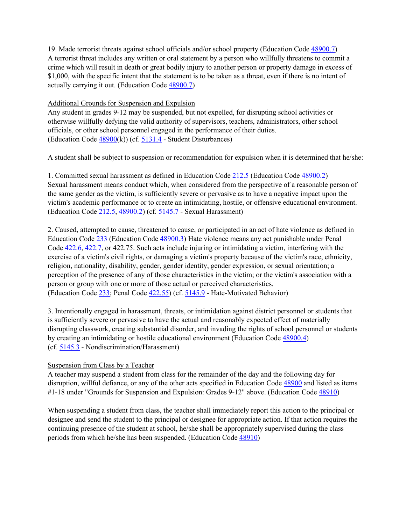A terrorist threat includes any written or oral statement by a person who willfully threatens to commit a \$1,000, with the specific intent that the statement is to be taken as a threat, even if there is no intent of 19. Made terrorist threats against school officials and/or school property (Education Code [48900.7\)](http://gamutonline.net/displayPolicy/137640/5) crime which will result in death or great bodily injury to another person or property damage in excess of actually carrying it out. (Education Code [48900.7\)](http://gamutonline.net/displayPolicy/137640/5)

## Additional Grounds for Suspension and Expulsion

 Any student in grades 9-12 may be suspended, but not expelled, for disrupting school activities or officials, or other school personnel engaged in the performance of their duties. (Education Code  $\frac{48900(k)}{k}$  (cf.  $\frac{5131.4}{k}$  - Student Disturbances) otherwise willfully defying the valid authority of supervisors, teachers, administrators, other school

A student shall be subject to suspension or recommendation for expulsion when it is determined that he/she:

1. Committed sexual harassment as defined in Education Code  $212.5$  (Education Code  $48900.2$ ) the same gender as the victim, is sufficiently severe or pervasive as to have a negative impact upon the (Education Code [212.5,](http://gamutonline.net/displayPolicy/138759/5) [48900.2\)](http://gamutonline.net/displayPolicy/132221/5) (cf. [5145.7](http://gamutonline.net/displayPolicy/1056962/5) - Sexual Harassment) Sexual harassment means conduct which, when considered from the perspective of a reasonable person of victim's academic performance or to create an intimidating, hostile, or offensive educational environment.

Education Code [233](http://gamutonline.net/displayPolicy/226219/5) (Education Code [48900.3\)](http://gamutonline.net/displayPolicy/132222/5) Hate violence means any act punishable under Penal Code  $422.6$ ,  $422.7$ , or 422.75. Such acts include injuring or intimidating a victim, interfering with the religion, nationality, disability, gender, gender identity, gender expression, or sexual orientation; a perception of the presence of any of those characteristics in the victim; or the victim's association with a (Education Code [233;](http://gamutonline.net/displayPolicy/226219/5) Penal Code  $\frac{422.55}{2}$ ) (cf.  $\frac{5145.9}{2}$  - Hate-Motivated Behavior) 2. Caused, attempted to cause, threatened to cause, or participated in an act of hate violence as defined in exercise of a victim's civil rights, or damaging a victim's property because of the victim's race, ethnicity, person or group with one or more of those actual or perceived characteristics.

 is sufficiently severe or pervasive to have the actual and reasonably expected effect of materially disrupting classwork, creating substantial disorder, and invading the rights of school personnel or students (cf[. 5145.3](http://gamutonline.net/displayPolicy/1056960/5) - Nondiscrimination/Harassment) 3. Intentionally engaged in harassment, threats, or intimidation against district personnel or students that by creating an intimidating or hostile educational environment (Education Code [48900.4\)](http://gamutonline.net/displayPolicy/132223/5)

# Suspension from Class by a Teacher

 A teacher may suspend a student from class for the remainder of the day and the following day for #1-18 under "Grounds for Suspension and Expulsion: Grades 9-12" above. (Education Code [48910\)](http://gamutonline.net/displayPolicy/132235/5) disruption, willful defiance, or any of the other acts specified in Education Code [48900](http://gamutonline.net/displayPolicy/137736/5) and listed as items

 When suspending a student from class, the teacher shall immediately report this action to the principal or designee and send the student to the principal or designee for appropriate action. If that action requires the continuing presence of the student at school, he/she shall be appropriately supervised during the class periods from which he/she has been suspended. (Education Code [48910\)](http://gamutonline.net/displayPolicy/132235/5)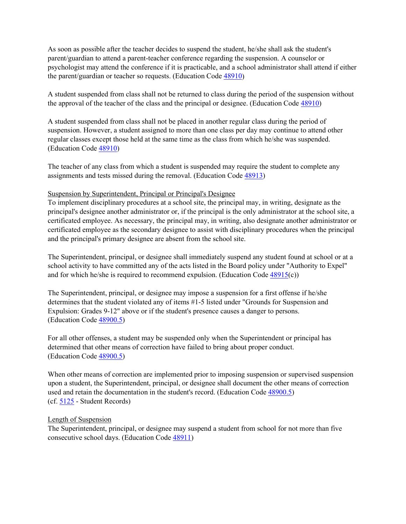parent/guardian to attend a parent-teacher conference regarding the suspension. A counselor or As soon as possible after the teacher decides to suspend the student, he/she shall ask the student's psychologist may attend the conference if it is practicable, and a school administrator shall attend if either the parent/guardian or teacher so requests. (Education Code [48910\)](http://gamutonline.net/displayPolicy/132235/5)

the approval of the teacher of the class and the principal or designee. (Education Code  $\frac{48910}{2}$ ) A student suspended from class shall not be returned to class during the period of the suspension without

 suspension. However, a student assigned to more than one class per day may continue to attend other regular classes except those held at the same time as the class from which he/she was suspended. A student suspended from class shall not be placed in another regular class during the period of (Education Code [48910\)](http://gamutonline.net/displayPolicy/132235/5)

 The teacher of any class from which a student is suspended may require the student to complete any assignments and tests missed during the removal. (Education Code [48913\)](http://gamutonline.net/displayPolicy/132242/5)

#### Suspension by Superintendent, Principal or Principal's Designee

 To implement disciplinary procedures at a school site, the principal may, in writing, designate as the principal's designee another administrator or, if the principal is the only administrator at the school site, a and the principal's primary designee are absent from the school site. certificated employee. As necessary, the principal may, in writing, also designate another administrator or certificated employee as the secondary designee to assist with disciplinary procedures when the principal

 The Superintendent, principal, or designee shall immediately suspend any student found at school or at a school activity to have committed any of the acts listed in the Board policy under "Authority to Expel" and for which he/she is required to recommend expulsion. (Education Code  $\frac{48915(c)}{c}$ )

 The Superintendent, principal, or designee may impose a suspension for a first offense if he/she determines that the student violated any of items #1-5 listed under "Grounds for Suspension and Expulsion: Grades 9-12" above or if the student's presence causes a danger to persons. (Education Code [48900.5\)](http://gamutonline.net/displayPolicy/132224/5)

 determined that other means of correction have failed to bring about proper conduct. For all other offenses, a student may be suspended only when the Superintendent or principal has (Education Code [48900.5\)](http://gamutonline.net/displayPolicy/132224/5)

 upon a student, the Superintendent, principal, or designee shall document the other means of correction (cf[. 5125](http://gamutonline.net/displayPolicy/559084/5) - Student Records) When other means of correction are implemented prior to imposing suspension or supervised suspension used and retain the documentation in the student's record. (Education Code [48900.5\)](http://gamutonline.net/displayPolicy/132224/5)

#### Length of Suspension

 The Superintendent, principal, or designee may suspend a student from school for not more than five consecutive school days. (Education Code [48911\)](http://gamutonline.net/displayPolicy/132236/5)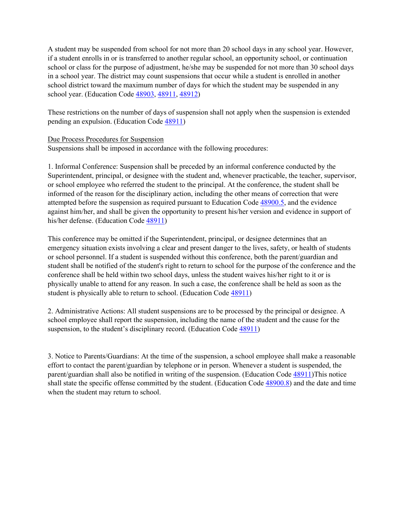A student may be suspended from school for not more than 20 school days in any school year. However, school or class for the purpose of adjustment, he/she may be suspended for not more than 30 school days in a school year. The district may count suspensions that occur while a student is enrolled in another school district toward the maximum number of days for which the student may be suspended in any school year. (Education Code [48903,](http://gamutonline.net/displayPolicy/137975/5) [48911,](http://gamutonline.net/displayPolicy/132236/5) [48912\)](http://gamutonline.net/displayPolicy/132240/5) if a student enrolls in or is transferred to another regular school, an opportunity school, or continuation

 These restrictions on the number of days of suspension shall not apply when the suspension is extended pending an expulsion. (Education Code [48911\)](http://gamutonline.net/displayPolicy/132236/5)

## Due Process Procedures for Suspension

Suspensions shall be imposed in accordance with the following procedures:

 1. Informal Conference: Suspension shall be preceded by an informal conference conducted by the Superintendent, principal, or designee with the student and, whenever practicable, the teacher, supervisor, or school employee who referred the student to the principal. At the conference, the student shall be informed of the reason for the disciplinary action, including the other means of correction that were attempted before the suspension as required pursuant to Education Cod[e 48900.5,](http://gamutonline.net/displayPolicy/132224/5) and the evidence against him/her, and shall be given the opportunity to present his/her version and evidence in support of his/her defense. (Education Code [48911\)](http://gamutonline.net/displayPolicy/132236/5)

 This conference may be omitted if the Superintendent, principal, or designee determines that an emergency situation exists involving a clear and present danger to the lives, safety, or health of students student shall be notified of the student's right to return to school for the purpose of the conference and the conference shall be held within two school days, unless the student waives his/her right to it or is or school personnel. If a student is suspended without this conference, both the parent/guardian and physically unable to attend for any reason. In such a case, the conference shall be held as soon as the student is physically able to return to school. (Education Code [48911\)](http://gamutonline.net/displayPolicy/132236/5)

 2. Administrative Actions: All student suspensions are to be processed by the principal or designee. A school employee shall report the suspension, including the name of the student and the cause for the suspension, to the student's disciplinary record. (Education Code [48911\)](http://gamutonline.net/displayPolicy/132236/5)

 effort to contact the parent/guardian by telephone or in person. Whenever a student is suspended, the parent/guardian shall also be notified in writing of the suspension. (Education Code [48911\)](http://gamutonline.net/displayPolicy/132236/5)This notice shall state the specific offense committed by the student. (Education Cod[e 48900.8\)](http://gamutonline.net/displayPolicy/137737/5) and the date and time 3. Notice to Parents/Guardians: At the time of the suspension, a school employee shall make a reasonable when the student may return to school.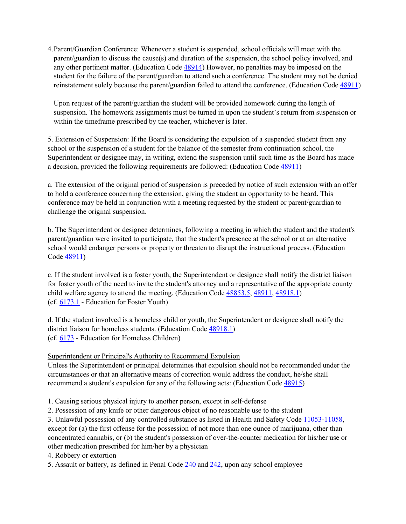student for the failure of the parent/guardian to attend such a conference. The student may not be denied reinstatement solely because the parent/guardian failed to attend the conference. (Education Code [48911\)](http://gamutonline.net/displayPolicy/132236/5) 4.Parent/Guardian Conference: Whenever a student is suspended, school officials will meet with the parent/guardian to discuss the cause(s) and duration of the suspension, the school policy involved, and any other pertinent matter. (Education Code [48914\)](http://gamutonline.net/displayPolicy/132243/5) However, no penalties may be imposed on the

 Upon request of the parent/guardian the student will be provided homework during the length of suspension. The homework assignments must be turned in upon the student's return from suspension or within the timeframe prescribed by the teacher, whichever is later.

 school or the suspension of a student for the balance of the semester from continuation school, the 5. Extension of Suspension: If the Board is considering the expulsion of a suspended student from any Superintendent or designee may, in writing, extend the suspension until such time as the Board has made a decision, provided the following requirements are followed: (Education Code [48911\)](http://gamutonline.net/displayPolicy/132236/5)

 to hold a conference concerning the extension, giving the student an opportunity to be heard. This a. The extension of the original period of suspension is preceded by notice of such extension with an offer conference may be held in conjunction with a meeting requested by the student or parent/guardian to challenge the original suspension.

 b. The Superintendent or designee determines, following a meeting in which the student and the student's parent/guardian were invited to participate, that the student's presence at the school or at an alternative school would endanger persons or property or threaten to disrupt the instructional process. (Education Code [48911\)](http://gamutonline.net/displayPolicy/132236/5)

 for foster youth of the need to invite the student's attorney and a representative of the appropriate county child welfare agency to attend the meeting. (Education Code [48853.5,](http://gamutonline.net/displayPolicy/315649/5) [48911,](http://gamutonline.net/displayPolicy/132236/5) [48918.1\)](http://gamutonline.net/displayPolicy/1007256/5) (cf.  $6173.1$  - Education for Foster Youth) c. If the student involved is a foster youth, the Superintendent or designee shall notify the district liaison

 (cf[. 6173](http://gamutonline.net/displayPolicy/274293/5) - Education for Homeless Children) d. If the student involved is a homeless child or youth, the Superintendent or designee shall notify the district liaison for homeless students. (Education Code [48918.1\)](http://gamutonline.net/displayPolicy/1007256/5)

## Superintendent or Principal's Authority to Recommend Expulsion

 Unless the Superintendent or principal determines that expulsion should not be recommended under the circumstances or that an alternative means of correction would address the conduct, he/she shall recommend a student's expulsion for any of the following acts: (Education Code [48915\)](http://gamutonline.net/displayPolicy/135958/5)

1. Causing serious physical injury to another person, except in self-defense

2. Possession of any knife or other dangerous object of no reasonable use to the student

3. Unlawful possession of any controlled substance as listed in Health and Safety Code [11053-](http://gamutonline.net/displayPolicy/149830/5)[11058,](http://gamutonline.net/displayPolicy/149833/5) except for (a) the first offense for the possession of not more than one ounce of marijuana, other than concentrated cannabis, or (b) the student's possession of over-the-counter medication for his/her use or other medication prescribed for him/her by a physician

4. Robbery or extortion

5. Assault or battery, as defined in Penal Code  $240$  and  $242$ , upon any school employee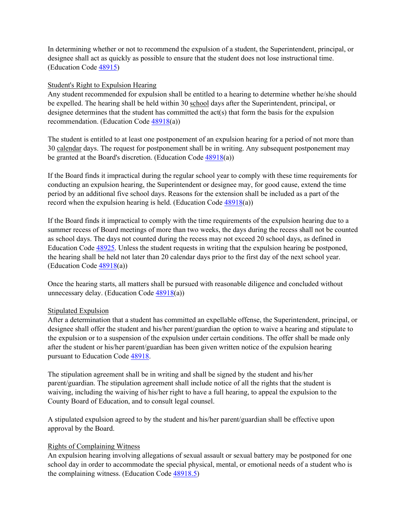designee shall act as quickly as possible to ensure that the student does not lose instructional time. In determining whether or not to recommend the expulsion of a student, the Superintendent, principal, or (Education Code [48915\)](http://gamutonline.net/displayPolicy/135958/5)

## Student's Right to Expulsion Hearing

be expelled. The hearing shall be held within 30 school days after the Superintendent, principal, or designee determines that the student has committed the act(s) that form the basis for the expulsion Any student recommended for expulsion shall be entitled to a hearing to determine whether he/she should recommendation. (Education Code [48918\(](http://gamutonline.net/displayPolicy/137967/5)a))

 The student is entitled to at least one postponement of an expulsion hearing for a period of not more than 30 calendar days. The request for postponement shall be in writing. Any subsequent postponement may be granted at the Board's discretion. (Education Code  $\frac{48918(a)}{2}$ )

 If the Board finds it impractical during the regular school year to comply with these time requirements for period by an additional five school days. Reasons for the extension shall be included as a part of the conducting an expulsion hearing, the Superintendent or designee may, for good cause, extend the time record when the expulsion hearing is held. (Education Code [48918\(](http://gamutonline.net/displayPolicy/137967/5)a))

 If the Board finds it impractical to comply with the time requirements of the expulsion hearing due to a as school days. The days not counted during the recess may not exceed 20 school days, as defined in the hearing shall be held not later than 20 calendar days prior to the first day of the next school year. summer recess of Board meetings of more than two weeks, the days during the recess shall not be counted Education Code [48925.](http://gamutonline.net/displayPolicy/132254/5) Unless the student requests in writing that the expulsion hearing be postponed, (Education Code  $\frac{48918(a)}{a}$ )

Once the hearing starts, all matters shall be pursued with reasonable diligence and concluded without unnecessary delay. (Education Code  $\frac{48918}{a}$ )

## Stipulated Expulsion

 After a determination that a student has committed an expellable offense, the Superintendent, principal, or designee shall offer the student and his/her parent/guardian the option to waive a hearing and stipulate to the expulsion or to a suspension of the expulsion under certain conditions. The offer shall be made only after the student or his/her parent/guardian has been given written notice of the expulsion hearing pursuant to Education Code [48918.](http://gamutonline.net/displayPolicy/137967/5)

 parent/guardian. The stipulation agreement shall include notice of all the rights that the student is waiving, including the waiving of his/her right to have a full hearing, to appeal the expulsion to the The stipulation agreement shall be in writing and shall be signed by the student and his/her County Board of Education, and to consult legal counsel.

A stipulated expulsion agreed to by the student and his/her parent/guardian shall be effective upon approval by the Board.

## Rights of Complaining Witness

An expulsion hearing involving allegations of sexual assault or sexual battery may be postponed for one school day in order to accommodate the special physical, mental, or emotional needs of a student who is the complaining witness. (Education Code [48918.5\)](http://gamutonline.net/displayPolicy/136089/5)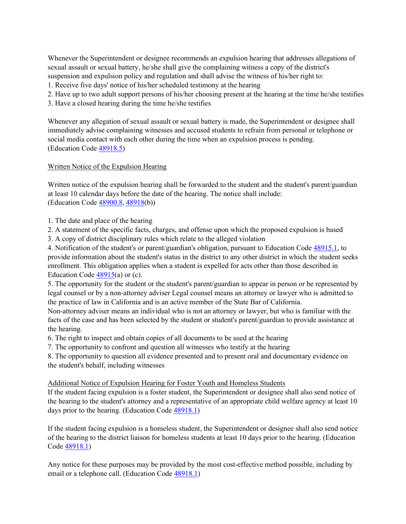suspension and expulsion policy and regulation and shall advise the witness of his/her right to: Whenever the Superintendent or designee recommends an expulsion hearing that addresses allegations of sexual assault or sexual battery, he/she shall give the complaining witness a copy of the district's

- 1. Receive five days' notice of his/her scheduled testimony at the hearing
- 2. Have up to two adult support persons of his/her choosing present at the hearing at the time he/she testifies
- 3. Have a closed hearing during the time he/she testifies

 Whenever any allegation of sexual assault or sexual battery is made, the Superintendent or designee shall immediately advise complaining witnesses and accused students to refrain from personal or telephone or social media contact with each other during the time when an expulsion process is pending. (Education Code [48918.5\)](http://gamutonline.net/displayPolicy/136089/5)

## Written Notice of the Expulsion Hearing

(Education Code [48900.8,](http://gamutonline.net/displayPolicy/137737/5) [48918\(](http://gamutonline.net/displayPolicy/137967/5)b)) Written notice of the expulsion hearing shall be forwarded to the student and the student's parent/guardian at least 10 calendar days before the date of the hearing. The notice shall include:

- 1. The date and place of the hearing
- 2. A statement of the specific facts, charges, and offense upon which the proposed expulsion is based
- 3. A copy of district disciplinary rules which relate to the alleged violation

4. Notification of the student's or parent/guardian's obligation, pursuant to Education Code [48915.1,](http://gamutonline.net/displayPolicy/135956/5) to provide information about the student's status in the district to any other district in which the student seeks enrollment. This obligation applies when a student is expelled for acts other than those described in Education Code  $48915(a)$  or (c).

Education Code <u>48915</u>(a) or (c).<br>5. The opportunity for the student or the student's parent/guardian to appear in person or be represented by legal counsel or by a non-attorney adviser Legal counsel means an attorney or lawyer who is admitted to the practice of law in California and is an active member of the State Bar of California.

 Non-attorney adviser means an individual who is not an attorney or lawyer, but who is familiar with the facts of the case and has been selected by the student or student's parent/guardian to provide assistance at the hearing.

- 6. The right to inspect and obtain copies of all documents to be used at the hearing
- 7. The opportunity to confront and question all witnesses who testify at the hearing

8. The opportunity to question all evidence presented and to present oral and documentary evidence on the student's behalf, including witnesses

## Additional Notice of Expulsion Hearing for Foster Youth and Homeless Students

 the hearing to the student's attorney and a representative of an appropriate child welfare agency at least 10 If the student facing expulsion is a foster student, the Superintendent or designee shall also send notice of days prior to the hearing. (Education Code [48918.1\)](http://gamutonline.net/displayPolicy/1007256/5)

If the student facing expulsion is a homeless student, the Superintendent or designee shall also send notice of the hearing to the district liaison for homeless students at least 10 days prior to the hearing. (Education Code [48918.1\)](http://gamutonline.net/displayPolicy/1007256/5)

 Any notice for these purposes may be provided by the most cost-effective method possible, including by email or a telephone call. (Education Code [48918.1\)](http://gamutonline.net/displayPolicy/1007256/5)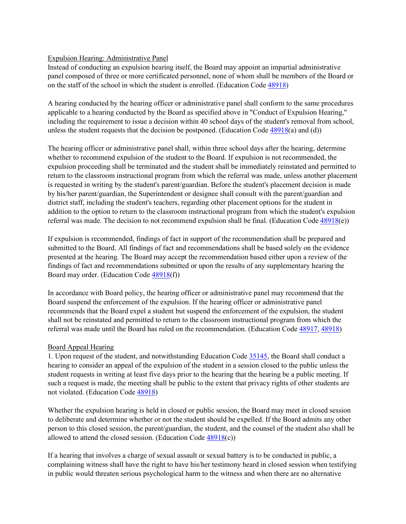# Expulsion Hearing: Administrative Panel

 panel composed of three or more certificated personnel, none of whom shall be members of the Board or Instead of conducting an expulsion hearing itself, the Board may appoint an impartial administrative on the staff of the school in which the student is enrolled. (Education Code [48918\)](http://gamutonline.net/displayPolicy/137967/5)

 A hearing conducted by the hearing officer or administrative panel shall conform to the same procedures including the requirement to issue a decision within 40 school days of the student's removal from school, unless the student requests that the decision be postponed. (Education Code  $\frac{48918(a)}{2}$  and (d)) applicable to a hearing conducted by the Board as specified above in "Conduct of Expulsion Hearing,"

 whether to recommend expulsion of the student to the Board. If expulsion is not recommended, the expulsion proceeding shall be terminated and the student shall be immediately reinstated and permitted to district staff, including the student's teachers, regarding other placement options for the student in The hearing officer or administrative panel shall, within three school days after the hearing, determine return to the classroom instructional program from which the referral was made, unless another placement is requested in writing by the student's parent/guardian. Before the student's placement decision is made by his/her parent/guardian, the Superintendent or designee shall consult with the parent/guardian and addition to the option to return to the classroom instructional program from which the student's expulsion referral was made. The decision to not recommend expulsion shall be final. (Education Code  $48918(e)$ )

 If expulsion is recommended, findings of fact in support of the recommendation shall be prepared and submitted to the Board. All findings of fact and recommendations shall be based solely on the evidence presented at the hearing. The Board may accept the recommendation based either upon a review of the findings of fact and recommendations submitted or upon the results of any supplementary hearing the Board may order. (Education Code [48918\(](http://gamutonline.net/displayPolicy/137967/5)f))

 recommends that the Board expel a student but suspend the enforcement of the expulsion, the student referral was made until the Board has ruled on the recommendation. (Education Code [48917,](http://gamutonline.net/displayPolicy/132248/5) [48918\)](http://gamutonline.net/displayPolicy/137967/5) In accordance with Board policy, the hearing officer or administrative panel may recommend that the Board suspend the enforcement of the expulsion. If the hearing officer or administrative panel shall not be reinstated and permitted to return to the classroom instructional program from which the

## Board Appeal Hearing

 1. Upon request of the student, and notwithstanding Education Cod[e 35145,](http://gamutonline.net/displayPolicy/131392/5) the Board shall conduct a hearing to consider an appeal of the expulsion of the student in a session closed to the public unless the student requests in writing at least five days prior to the hearing that the hearing be a public meeting. If such a request is made, the meeting shall be public to the extent that privacy rights of other students are not violated. (Education Code [48918\)](http://gamutonline.net/displayPolicy/137967/5)

Whether the expulsion hearing is held in closed or public session, the Board may meet in closed session to deliberate and determine whether or not the student should be expelled. If the Board admits any other person to this closed session, the parent/guardian, the student, and the counsel of the student also shall be allowed to attend the closed session. (Education Code  $48918(c)$ )

 If a hearing that involves a charge of sexual assault or sexual battery is to be conducted in public, a complaining witness shall have the right to have his/her testimony heard in closed session when testifying in public would threaten serious psychological harm to the witness and when there are no alternative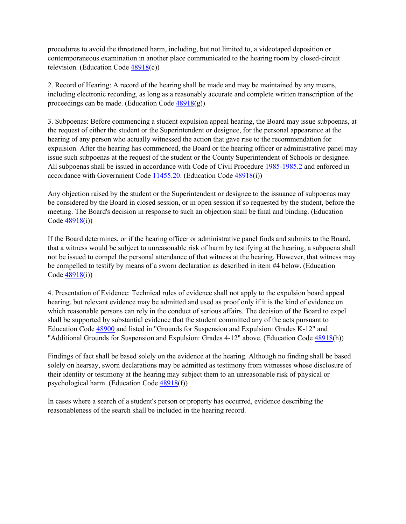procedures to avoid the threatened harm, including, but not limited to, a videotaped deposition or contemporaneous examination in another place communicated to the hearing room by closed-circuit television. (Education Code [48918\(](http://gamutonline.net/displayPolicy/137967/5)c))

 including electronic recording, as long as a reasonably accurate and complete written transcription of the 2. Record of Hearing: A record of the hearing shall be made and may be maintained by any means, proceedings can be made. (Education Code  $48918(g)$ )

 the request of either the student or the Superintendent or designee, for the personal appearance at the expulsion. After the hearing has commenced, the Board or the hearing officer or administrative panel may issue such subpoenas at the request of the student or the County Superintendent of Schools or designee. accordance with Government Code [11455.20.](http://gamutonline.net/displayPolicy/250682/5) (Education Code [48918\(](http://gamutonline.net/displayPolicy/137967/5)i)) 3. Subpoenas: Before commencing a student expulsion appeal hearing, the Board may issue subpoenas, at hearing of any person who actually witnessed the action that gave rise to the recommendation for All subpoenas shall be issued in accordance with Code of Civil Procedure [1985](http://gamutonline.net/displayPolicy/369496/5)[-1985.2](http://gamutonline.net/displayPolicy/369498/5) and enforced in

 Any objection raised by the student or the Superintendent or designee to the issuance of subpoenas may be considered by the Board in closed session, or in open session if so requested by the student, before the meeting. The Board's decision in response to such an objection shall be final and binding. (Education Code  $48918(i)$ )

 If the Board determines, or if the hearing officer or administrative panel finds and submits to the Board, not be issued to compel the personal attendance of that witness at the hearing. However, that witness may that a witness would be subject to unreasonable risk of harm by testifying at the hearing, a subpoena shall be compelled to testify by means of a sworn declaration as described in item #4 below. (Education Code  $48918(i)$ )

"Additional Grounds for Suspension and Expulsion: Grades 4-12" above. (Education Code  $\frac{48918(h)}{h}$ 4. Presentation of Evidence: Technical rules of evidence shall not apply to the expulsion board appeal hearing, but relevant evidence may be admitted and used as proof only if it is the kind of evidence on which reasonable persons can rely in the conduct of serious affairs. The decision of the Board to expel shall be supported by substantial evidence that the student committed any of the acts pursuant to Education Code [48900](http://gamutonline.net/displayPolicy/137736/5) and listed in "Grounds for Suspension and Expulsion: Grades K-12" and

 Findings of fact shall be based solely on the evidence at the hearing. Although no finding shall be based solely on hearsay, sworn declarations may be admitted as testimony from witnesses whose disclosure of their identity or testimony at the hearing may subject them to an unreasonable risk of physical or psychological harm. (Education Code [48918\(](http://gamutonline.net/displayPolicy/137967/5)f))

In cases where a search of a student's person or property has occurred, evidence describing the reasonableness of the search shall be included in the hearing record.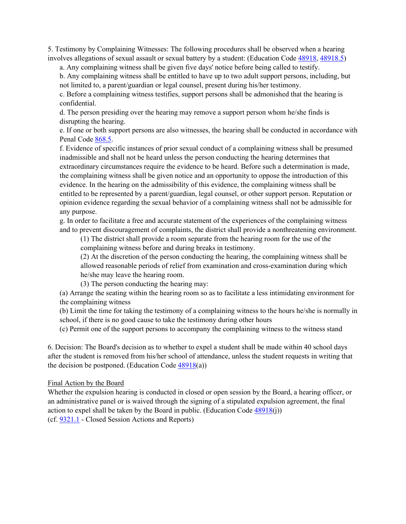involves allegations of sexual assault or sexual battery by a student: (Education Code  $\frac{48918}{48918.5}$ ) 5. Testimony by Complaining Witnesses: The following procedures shall be observed when a hearing

a. Any complaining witness shall be given five days' notice before being called to testify.

 b. Any complaining witness shall be entitled to have up to two adult support persons, including, but not limited to, a parent/guardian or legal counsel, present during his/her testimony.

c. Before a complaining witness testifies, support persons shall be admonished that the hearing is confidential.

 d. The person presiding over the hearing may remove a support person whom he/she finds is disrupting the hearing.

e. If one or both support persons are also witnesses, the hearing shall be conducted in accordance with Penal Code [868.5.](http://gamutonline.net/displayPolicy/169584/5)

 f. Evidence of specific instances of prior sexual conduct of a complaining witness shall be presumed the complaining witness shall be given notice and an opportunity to oppose the introduction of this evidence. In the hearing on the admissibility of this evidence, the complaining witness shall be inadmissible and shall not be heard unless the person conducting the hearing determines that extraordinary circumstances require the evidence to be heard. Before such a determination is made, entitled to be represented by a parent/guardian, legal counsel, or other support person. Reputation or opinion evidence regarding the sexual behavior of a complaining witness shall not be admissible for any purpose.

 g. In order to facilitate a free and accurate statement of the experiences of the complaining witness and to prevent discouragement of complaints, the district shall provide a nonthreatening environment.

 (1) The district shall provide a room separate from the hearing room for the use of the complaining witness before and during breaks in testimony.

 (2) At the discretion of the person conducting the hearing, the complaining witness shall be allowed reasonable periods of relief from examination and cross-examination during which he/she may leave the hearing room.

(3) The person conducting the hearing may:

 (a) Arrange the seating within the hearing room so as to facilitate a less intimidating environment for the complaining witness

 (b) Limit the time for taking the testimony of a complaining witness to the hours he/she is normally in school, if there is no good cause to take the testimony during other hours

(c) Permit one of the support persons to accompany the complaining witness to the witness stand

 after the student is removed from his/her school of attendance, unless the student requests in writing that 6. Decision: The Board's decision as to whether to expel a student shall be made within 40 school days the decision be postponed. (Education Code  $48918(a)$ )

#### Final Action by the Board

(cf. **9321.1** - Closed Session Actions and Reports) Whether the expulsion hearing is conducted in closed or open session by the Board, a hearing officer, or an administrative panel or is waived through the signing of a stipulated expulsion agreement, the final action to expel shall be taken by the Board in public. (Education Code  $\frac{48918(i)}{i}$ )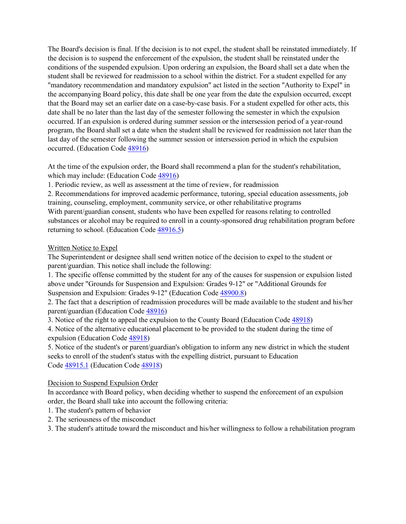the decision is to suspend the enforcement of the expulsion, the student shall be reinstated under the the accompanying Board policy, this date shall be one year from the date the expulsion occurred, except that the Board may set an earlier date on a case-by-case basis. For a student expelled for other acts, this occurred. If an expulsion is ordered during summer session or the intersession period of a year-round program, the Board shall set a date when the student shall be reviewed for readmission not later than the The Board's decision is final. If the decision is to not expel, the student shall be reinstated immediately. If conditions of the suspended expulsion. Upon ordering an expulsion, the Board shall set a date when the student shall be reviewed for readmission to a school within the district. For a student expelled for any "mandatory recommendation and mandatory expulsion" act listed in the section "Authority to Expel" in date shall be no later than the last day of the semester following the semester in which the expulsion last day of the semester following the summer session or intersession period in which the expulsion occurred. (Education Code [48916\)](http://gamutonline.net/displayPolicy/132245/5)

 At the time of the expulsion order, the Board shall recommend a plan for the student's rehabilitation, which may include: (Education Code [48916\)](http://gamutonline.net/displayPolicy/132245/5)

1. Periodic review, as well as assessment at the time of review, for readmission

 2. Recommendations for improved academic performance, tutoring, special education assessments, job substances or alcohol may be required to enroll in a county-sponsored drug rehabilitation program before training, counseling, employment, community service, or other rehabilitative programs With parent/guardian consent, students who have been expelled for reasons relating to controlled returning to school. (Education Code [48916.5\)](http://gamutonline.net/displayPolicy/132247/5)

## Written Notice to Expel

 The Superintendent or designee shall send written notice of the decision to expel to the student or parent/guardian. This notice shall include the following:

 above under "Grounds for Suspension and Expulsion: Grades 9-12" or "Additional Grounds for 1. The specific offense committed by the student for any of the causes for suspension or expulsion listed Suspension and Expulsion: Grades 9-12" (Education Code [48900.8\)](http://gamutonline.net/displayPolicy/137737/5)

 2. The fact that a description of readmission procedures will be made available to the student and his/her parent/guardian (Education Code [48916\)](http://gamutonline.net/displayPolicy/132245/5)

3. Notice of the right to appeal the expulsion to the County Board (Education Code  $\frac{48918}{ }$ )

 4. Notice of the alternative educational placement to be provided to the student during the time of expulsion (Education Code [48918\)](http://gamutonline.net/displayPolicy/137967/5)

 seeks to enroll of the student's status with the expelling district, pursuant to Education Code **48915.1** (Education Code [48918\)](http://gamutonline.net/displayPolicy/137967/5) 5. Notice of the student's or parent/guardian's obligation to inform any new district in which the student

Decision to Suspend Expulsion Order

 order, the Board shall take into account the following criteria: In accordance with Board policy, when deciding whether to suspend the enforcement of an expulsion

- 1. The student's pattern of behavior
- 2. The seriousness of the misconduct

3. The student's attitude toward the misconduct and his/her willingness to follow a rehabilitation program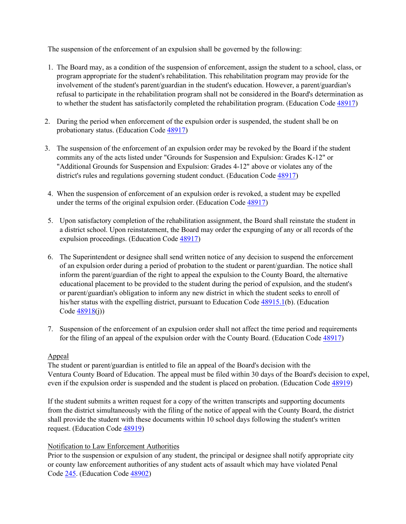The suspension of the enforcement of an expulsion shall be governed by the following:

- program appropriate for the student's rehabilitation. This rehabilitation program may provide for the 1. The Board may, as a condition of the suspension of enforcement, assign the student to a school, class, or involvement of the student's parent/guardian in the student's education. However, a parent/guardian's refusal to participate in the rehabilitation program shall not be considered in the Board's determination as to whether the student has satisfactorily completed the rehabilitation program. (Education Code [48917\)](http://gamutonline.net/displayPolicy/132248/5)
- 2. During the period when enforcement of the expulsion order is suspended, the student shall be on probationary status. (Education Code [48917\)](http://gamutonline.net/displayPolicy/132248/5)
- 3. The suspension of the enforcement of an expulsion order may be revoked by the Board if the student commits any of the acts listed under "Grounds for Suspension and Expulsion: Grades K-12" or "Additional Grounds for Suspension and Expulsion: Grades 4-12" above or violates any of the district's rules and regulations governing student conduct. (Education Cod[e 48917\)](http://gamutonline.net/displayPolicy/132248/5)
- 4. When the suspension of enforcement of an expulsion order is revoked, a student may be expelled under the terms of the original expulsion order. (Education Code [48917\)](http://gamutonline.net/displayPolicy/132248/5)
- 5. Upon satisfactory completion of the rehabilitation assignment, the Board shall reinstate the student in a district school. Upon reinstatement, the Board may order the expunging of any or all records of the expulsion proceedings. (Education Code [48917\)](http://gamutonline.net/displayPolicy/132248/5)
- 6. The Superintendent or designee shall send written notice of any decision to suspend the enforcement inform the parent/guardian of the right to appeal the expulsion to the County Board, the alternative or parent/guardian's obligation to inform any new district in which the student seeks to enroll of Code  $\frac{48918(j)}{j}$ of an expulsion order during a period of probation to the student or parent/guardian. The notice shall educational placement to be provided to the student during the period of expulsion, and the student's his/her status with the expelling district, pursuant to Education Code [48915.1\(](http://gamutonline.net/displayPolicy/135956/5)b). (Education
- 7. Suspension of the enforcement of an expulsion order shall not affect the time period and requirements for the filing of an appeal of the expulsion order with the County Board. (Education Code  $\frac{48917}{ }$ )

## Appeal

The student or parent/guardian is entitled to file an appeal of the Board's decision with the The student or parent/guardian is entitled to file an appeal of the Board's decision with the Ventura County Board of Education. The appeal must be filed within 30 days of the Board's decision to expel, even if the expulsion order is suspended and the student is placed on probation. (Education Code  $\frac{48919}{2}$ )

 from the district simultaneously with the filing of the notice of appeal with the County Board, the district If the student submits a written request for a copy of the written transcripts and supporting documents shall provide the student with these documents within 10 school days following the student's written request. (Education Code [48919\)](http://gamutonline.net/displayPolicy/226347/5)

## Notification to Law Enforcement Authorities

 Prior to the suspension or expulsion of any student, the principal or designee shall notify appropriate city or county law enforcement authorities of any student acts of assault which may have violated Penal Code [245.](http://gamutonline.net/displayPolicy/169323/5) (Education Code [48902\)](http://gamutonline.net/displayPolicy/132227/5)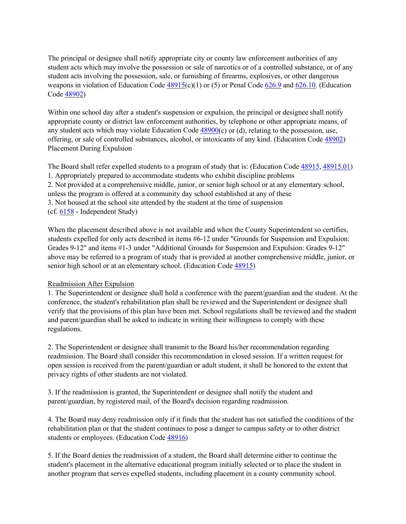weapons in violation of Education Code  $48915(c)(1)$  or (5) or Penal Code  $626.9$  and  $626.10$ . (Education Code <u>48902</u>) The principal or designee shall notify appropriate city or county law enforcement authorities of any student acts which may involve the possession or sale of narcotics or of a controlled substance, or of any student acts involving the possession, sale, or furnishing of firearms, explosives, or other dangerous

 Within one school day after a student's suspension or expulsion, the principal or designee shall notify appropriate county or district law enforcement authorities, by telephone or other appropriate means, of offering, or sale of controlled substances, alcohol, or intoxicants of any kind. (Education Code [48902\)](http://gamutonline.net/displayPolicy/132227/5) any student acts which may violate Education Code [48900\(](http://gamutonline.net/displayPolicy/137736/5)c) or (d), relating to the possession, use, Placement During Expulsion

The Board shall refer expelled students to a program of study that is: (Education Code [48915,](http://gamutonline.net/displayPolicy/135958/5) [48915.01\)](http://gamutonline.net/displayPolicy/135955/5) 1. Appropriately prepared to accommodate students who exhibit discipline problems unless the program is offered at a community day school established at any of these 3. Not housed at the school site attended by the student at the time of suspension (cf[. 6158](http://gamutonline.net/displayPolicy/171587/5) - Independent Study) 2. Not provided at a comprehensive middle, junior, or senior high school or at any elementary school,

 Grades 9-12" and items #1-3 under "Additional Grounds for Suspension and Expulsion: Grades 9-12" When the placement described above is not available and when the County Superintendent so certifies, students expelled for only acts described in items #6-12 under "Grounds for Suspension and Expulsion: above may be referred to a program of study that is provided at another comprehensive middle, junior, or senior high school or at an elementary school. (Education Code [48915\)](http://gamutonline.net/displayPolicy/135958/5)

## Readmission After Expulsion

 conference, the student's rehabilitation plan shall be reviewed and the Superintendent or designee shall verify that the provisions of this plan have been met. School regulations shall be reviewed and the student 1. The Superintendent or designee shall hold a conference with the parent/guardian and the student. At the and parent/guardian shall be asked to indicate in writing their willingness to comply with these regulations.

 2. The Superintendent or designee shall transmit to the Board his/her recommendation regarding readmission. The Board shall consider this recommendation in closed session. If a written request for open session is received from the parent/guardian or adult student, it shall be honored to the extent that privacy rights of other students are not violated.

3. If the readmission is granted, the Superintendent or designee shall notify the student and parent/guardian, by registered mail, of the Board's decision regarding readmission.

 4. The Board may deny readmission only if it finds that the student has not satisfied the conditions of the rehabilitation plan or that the student continues to pose a danger to campus safety or to other district students or employees. (Education Code [48916\)](http://gamutonline.net/displayPolicy/132245/5)

 5. If the Board denies the readmission of a student, the Board shall determine either to continue the student's placement in the alternative educational program initially selected or to place the student in another program that serves expelled students, including placement in a county community school.